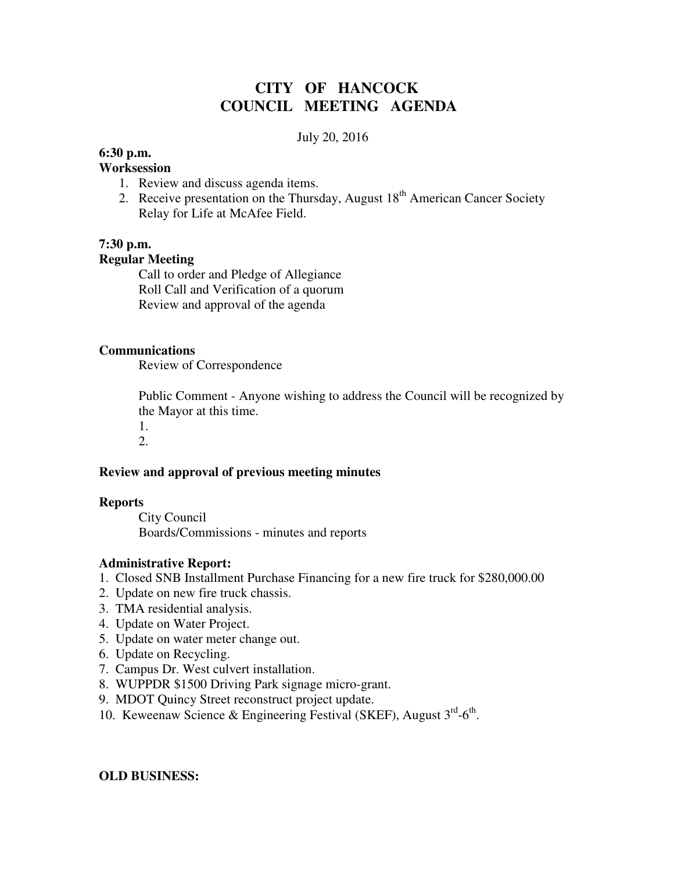# **CITY OF HANCOCK COUNCIL MEETING AGENDA**

### July 20, 2016

### **6:30 p.m.**

### **Worksession**

- 1. Review and discuss agenda items.
- 2. Receive presentation on the Thursday, August  $18<sup>th</sup>$  American Cancer Society Relay for Life at McAfee Field.

## **7:30 p.m.**

### **Regular Meeting**

 Call to order and Pledge of Allegiance Roll Call and Verification of a quorum Review and approval of the agenda

### **Communications**

Review of Correspondence

 Public Comment - Anyone wishing to address the Council will be recognized by the Mayor at this time.

1.

# 2.

## **Review and approval of previous meeting minutes**

### **Reports**

City Council Boards/Commissions - minutes and reports

### **Administrative Report:**

- 1. Closed SNB Installment Purchase Financing for a new fire truck for \$280,000.00
- 2. Update on new fire truck chassis.
- 3. TMA residential analysis.
- 4. Update on Water Project.
- 5. Update on water meter change out.
- 6. Update on Recycling.
- 7. Campus Dr. West culvert installation.
- 8. WUPPDR \$1500 Driving Park signage micro-grant.
- 9. MDOT Quincy Street reconstruct project update.
- 10. Keweenaw Science & Engineering Festival (SKEF), August 3rd-6<sup>th</sup>.

### **OLD BUSINESS:**